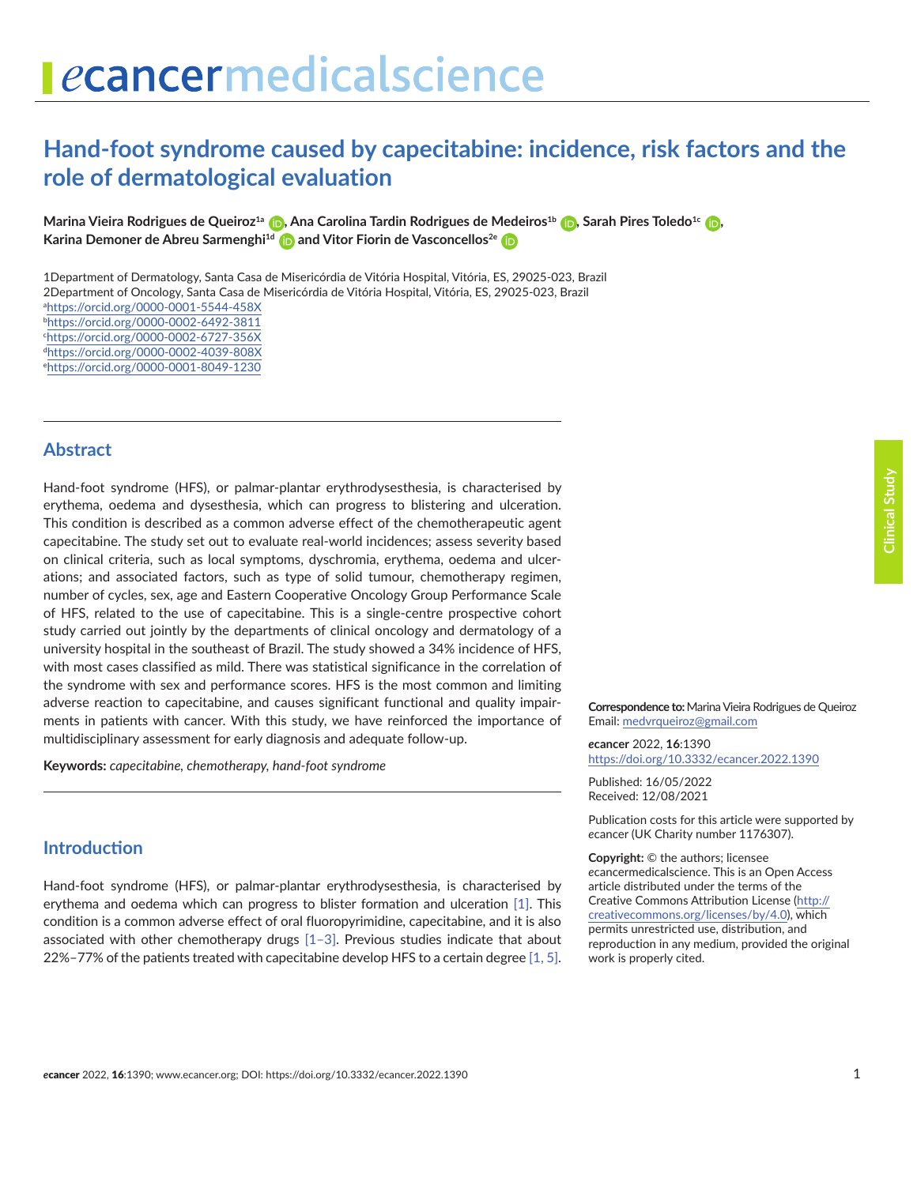# **Hand-foot syndrome caused by capecitabine: incidence, risk factors and the role of dermatological evaluation**

**Marina Vieira Rodrigues de Queiroz<sup>1a</sup> (p.** Ana Carolina Tardin Rodrigues de Medeiros<sup>1b</sup> (p. Sarah Pires Toledo<sup>1c</sup> (p. **Karina Demoner de Abreu Sarmenghi<sup>1d</sup> [a](https://orcid.org/0000-0002-4039-808X)nd Vitor Fiorin de Vasconcellos<sup>2e</sup>** 

1Department of Dermatology, Santa Casa de Misericórdia de Vitória Hospital, Vitória, ES, 29025-023, Brazil 2Department of Oncology, Santa Casa de Misericórdia de Vitória Hospital, Vitória, ES, 29025-023, Brazil

a <https://orcid.org/0000-0001-5544-458X> b <https://orcid.org/0000-0002-6492-3811> c <https://orcid.org/0000-0002-6727-356X> d <https://orcid.org/0000-0002-4039-808X>

e <https://orcid.org/0000-0001-8049-1230>

#### **Abstract**

Hand-foot syndrome (HFS), or palmar-plantar erythrodysesthesia, is characterised by erythema, oedema and dysesthesia, which can progress to blistering and ulceration. This condition is described as a common adverse effect of the chemotherapeutic agent capecitabine. The study set out to evaluate real-world incidences; assess severity based on clinical criteria, such as local symptoms, dyschromia, erythema, oedema and ulcerations; and associated factors, such as type of solid tumour, chemotherapy regimen, number of cycles, sex, age and Eastern Cooperative Oncology Group Performance Scale of HFS, related to the use of capecitabine. This is a single-centre prospective cohort study carried out jointly by the departments of clinical oncology and dermatology of a university hospital in the southeast of Brazil. The study showed a 34% incidence of HFS, with most cases classified as mild. There was statistical significance in the correlation of the syndrome with sex and performance scores. HFS is the most common and limiting adverse reaction to capecitabine, and causes significant functional and quality impairments in patients with cancer. With this study, we have reinforced the importance of multidisciplinary assessment for early diagnosis and adequate follow-up.

**Keywords:** *capecitabine, chemotherapy, hand-foot syndrome*

### **Introduction**

Hand-foot syndrome (HFS), or palmar-plantar erythrodysesthesia, is characterised by erythema and oedema which can progress to blister formation and ulceration [\[1\].](#page-5-0) This condition is a common adverse effect of oral fluoropyrimidine, capecitabine, and it is also associated with other chemotherapy drugs [\[1–3\].](#page-5-0) Previous studies indicate that about 22%–77% of the patients treated with capecitabine develop HFS to a certain degree  $[1, 5]$ .

**Correspondence to:**Marina Vieira Rodrigues de Queiroz Email: [medvrqueiroz@gmail.com](mailto:medvrqueiroz@gmail.com)

*e***cancer** 2022, **16**:1390 [https://doi.org/10.3332/ecancer.2022.139](https://doi.org/10.3332/ecancer.2022.1390)0

Published: 16/05/2022 Received: 12/08/2021

Publication costs for this article were supported by *e*cancer (UK Charity number 1176307).

**Copyright:** © the authors; licensee *e*cancermedicalscience. This is an Open Access article distributed under the terms of the Creative Commons Attribution License (http:// creativecommons.org/licenses/by/4.0), which permits unrestricted use, distribution, and reproduction in any medium, provided the original work is properly cited.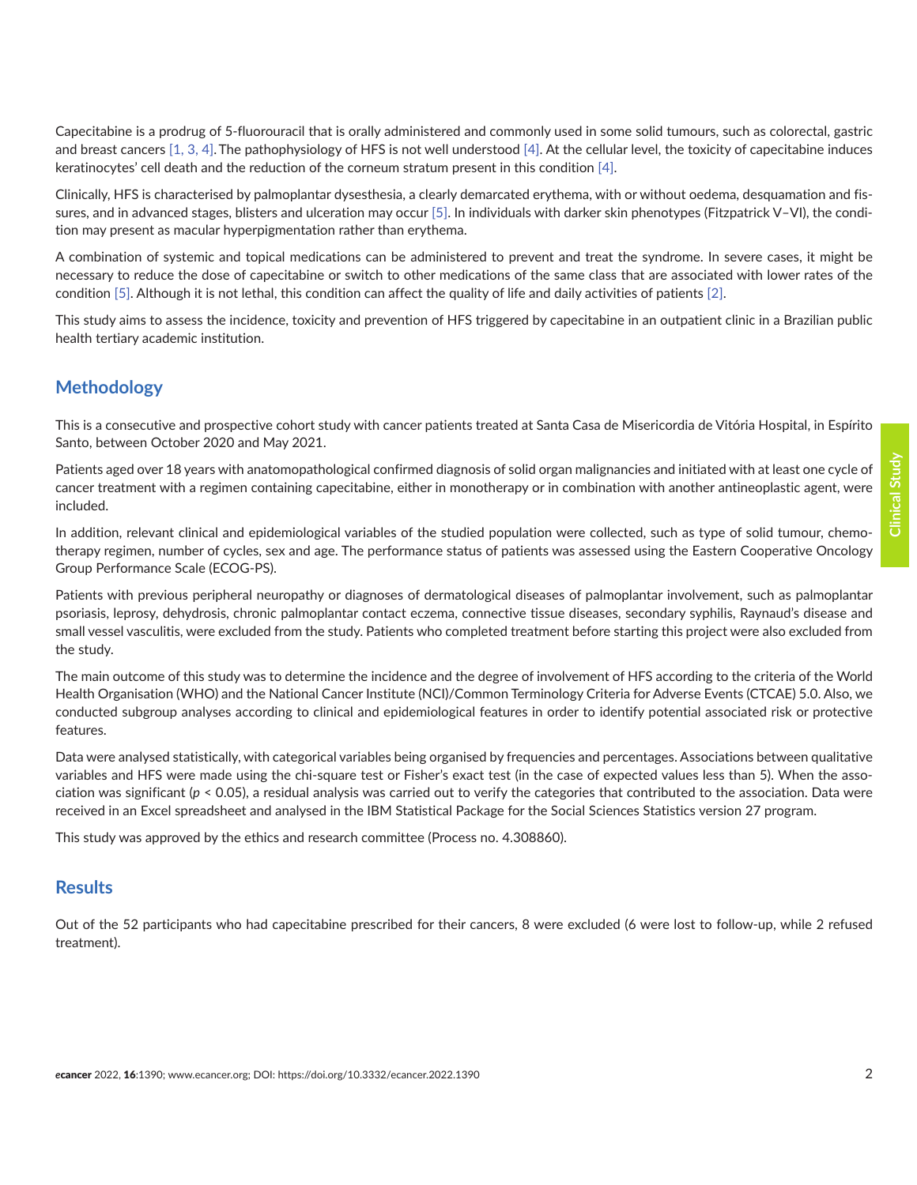Capecitabine is a prodrug of 5-fluorouracil that is orally administered and commonly used in some solid tumours, such as colorectal, gastric and breast cancers  $[1, 3, 4]$  $[1, 3, 4]$ . The pathophysiology of HFS is not well understood  $[4]$ . At the cellular level, the toxicity of capecitabine induces keratinocytes' cell death and the reduction of the corneum stratum present in this condition [\[4\]](#page-5-0).

Clinically, HFS is characterised by palmoplantar dysesthesia, a clearly demarcated erythema, with or without oedema, desquamation and fis-sures, and in advanced stages, blisters and ulceration may occur [\[5\]](#page-5-0). In individuals with darker skin phenotypes (Fitzpatrick V–VI), the condition may present as macular hyperpigmentation rather than erythema.

A combination of systemic and topical medications can be administered to prevent and treat the syndrome. In severe cases, it might be necessary to reduce the dose of capecitabine or switch to other medications of the same class that are associated with lower rates of the condition [\[5\]](#page-5-0). Although it is not lethal, this condition can affect the quality of life and daily activities of patients [\[2\]](#page-5-0).

This study aims to assess the incidence, toxicity and prevention of HFS triggered by capecitabine in an outpatient clinic in a Brazilian public health tertiary academic institution.

## **Methodology**

This is a consecutive and prospective cohort study with cancer patients treated at Santa Casa de Misericordia de Vitória Hospital, in Espírito Santo, between October 2020 and May 2021.

Patients aged over 18 years with anatomopathological confirmed diagnosis of solid organ malignancies and initiated with at least one cycle of cancer treatment with a regimen containing capecitabine, either in monotherapy or in combination with another antineoplastic agent, were included.

In addition, relevant clinical and epidemiological variables of the studied population were collected, such as type of solid tumour, chemotherapy regimen, number of cycles, sex and age. The performance status of patients was assessed using the Eastern Cooperative Oncology Group Performance Scale (ECOG-PS).

Patients with previous peripheral neuropathy or diagnoses of dermatological diseases of palmoplantar involvement, such as palmoplantar psoriasis, leprosy, dehydrosis, chronic palmoplantar contact eczema, connective tissue diseases, secondary syphilis, Raynaud's disease and small vessel vasculitis, were excluded from the study. Patients who completed treatment before starting this project were also excluded from the study.

The main outcome of this study was to determine the incidence and the degree of involvement of HFS according to the criteria of the World Health Organisation (WHO) and the National Cancer Institute (NCI)/Common Terminology Criteria for Adverse Events (CTCAE) 5.0. Also, we conducted subgroup analyses according to clinical and epidemiological features in order to identify potential associated risk or protective features.

Data were analysed statistically, with categorical variables being organised by frequencies and percentages. Associations between qualitative variables and HFS were made using the chi-square test or Fisher's exact test (in the case of expected values less than 5). When the association was significant (*p* < 0.05), a residual analysis was carried out to verify the categories that contributed to the association. Data were received in an Excel spreadsheet and analysed in the IBM Statistical Package for the Social Sciences Statistics version 27 program.

This study was approved by the ethics and research committee (Process no. 4.308860).

# **Results**

Out of the 52 participants who had capecitabine prescribed for their cancers, 8 were excluded (6 were lost to follow-up, while 2 refused treatment).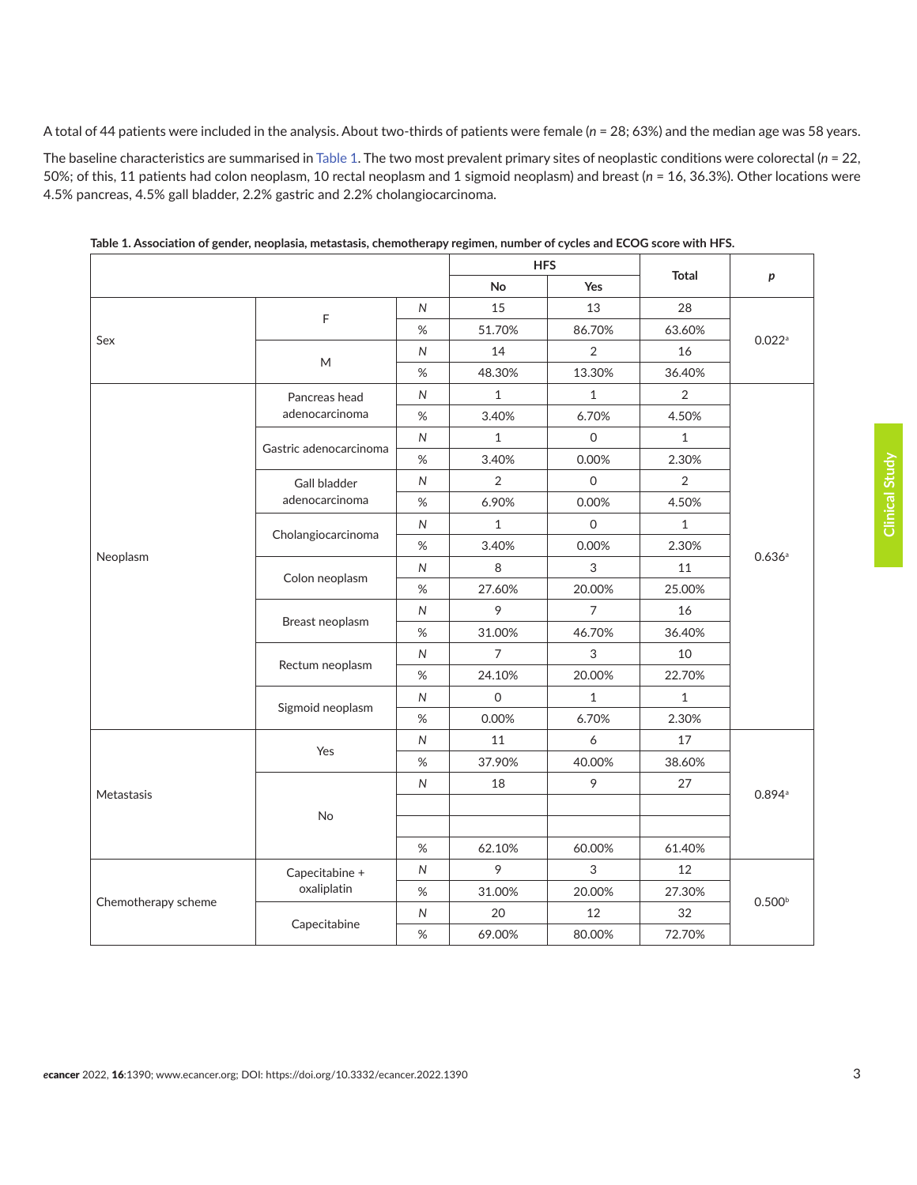A total of 44 patients were included in the analysis. About two-thirds of patients were female (*n* = 28; 63%) and the median age was 58 years.

The baseline characteristics are summarised in Table 1. The two most prevalent primary sites of neoplastic conditions were colorectal (*n* = 22, 50%; of this, 11 patients had colon neoplasm, 10 rectal neoplasm and 1 sigmoid neoplasm) and breast (*n* = 16, 36.3%). Other locations were 4.5% pancreas, 4.5% gall bladder, 2.2% gastric and 2.2% cholangiocarcinoma.

|                     |                                       |                | <b>HFS</b>          |              | <b>Total</b> |                      |
|---------------------|---------------------------------------|----------------|---------------------|--------------|--------------|----------------------|
|                     |                                       |                | No                  | Yes          |              | p                    |
| Sex                 | $\mathsf F$                           | N              | 15                  | 13           | 28           | $0.022$ <sup>a</sup> |
|                     |                                       | %              | 51.70%              | 86.70%       | 63.60%       |                      |
|                     | M                                     | N              | 14                  | $\sqrt{2}$   | 16           |                      |
|                     |                                       | %              | 48.30%              | 13.30%       | 36.40%       |                      |
|                     | Pancreas head<br>adenocarcinoma       | $\overline{N}$ | $\mathbf{1}$        | $\mathbf{1}$ | 2            | 0.636a               |
|                     |                                       | $\%$           | 3.40%               | 6.70%        | 4.50%        |                      |
|                     | Gastric adenocarcinoma                | N              | $\mathbf{1}$        | $\Omega$     | $\mathbf{1}$ |                      |
|                     |                                       | $\%$           | 3.40%               | 0.00%        | 2.30%        |                      |
|                     | <b>Gall bladder</b><br>adenocarcinoma | N              | $\overline{2}$      | 0            | 2            |                      |
|                     |                                       | %              | 6.90%               | 0.00%        | 4.50%        |                      |
|                     | Cholangiocarcinoma                    | $\overline{N}$ | $\mathbf{1}$        | $\mathsf{O}$ | $\mathbf{1}$ |                      |
|                     |                                       | $\%$           | 3.40%               | 0.00%        | 2.30%        |                      |
| Neoplasm            | Colon neoplasm                        | $\mathsf{N}$   | 8                   | 3            | 11           |                      |
|                     |                                       | $\%$           | 27.60%              | 20.00%       | 25.00%       |                      |
|                     | Breast neoplasm                       | N              | 9                   | 7            | 16           |                      |
|                     |                                       | $\%$           | 31.00%              | 46.70%       | 36.40%       |                      |
|                     | Rectum neoplasm                       | $\overline{N}$ | $\overline{7}$      | 3            | 10           |                      |
|                     |                                       | $\%$           | 24.10%              | 20.00%       | 22.70%       |                      |
|                     |                                       | ${\sf N}$      | $\mathsf{O}\xspace$ | $\mathbf{1}$ | $\mathbf{1}$ |                      |
|                     | Sigmoid neoplasm                      | %              | 0.00%               | 6.70%        | 2.30%        |                      |
| Metastasis          | Yes                                   | N              | 11                  | 6            | 17           | 0.894a               |
|                     |                                       | $\%$           | 37.90%              | 40.00%       | 38.60%       |                      |
|                     | No                                    | $\mathsf{N}$   | 18                  | 9            | 27           |                      |
|                     |                                       |                |                     |              |              |                      |
|                     |                                       |                |                     |              |              |                      |
|                     |                                       | $\%$           | 62.10%              | 60.00%       | 61.40%       |                      |
| Chemotherapy scheme | Capecitabine +<br>oxaliplatin         | N              | 9                   | 3            | 12           | 0.500 <sup>b</sup>   |
|                     |                                       | %              | 31.00%              | 20.00%       | 27.30%       |                      |
|                     |                                       | ${\sf N}$      | 20                  | 12           | 32           |                      |
|                     | Capecitabine                          | $\%$           | 69.00%              | 80.00%       | 72.70%       |                      |
|                     |                                       |                |                     |              |              |                      |

**Table 1. Association of gender, neoplasia, metastasis, chemotherapy regimen, number of cycles and ECOG score with HFS.**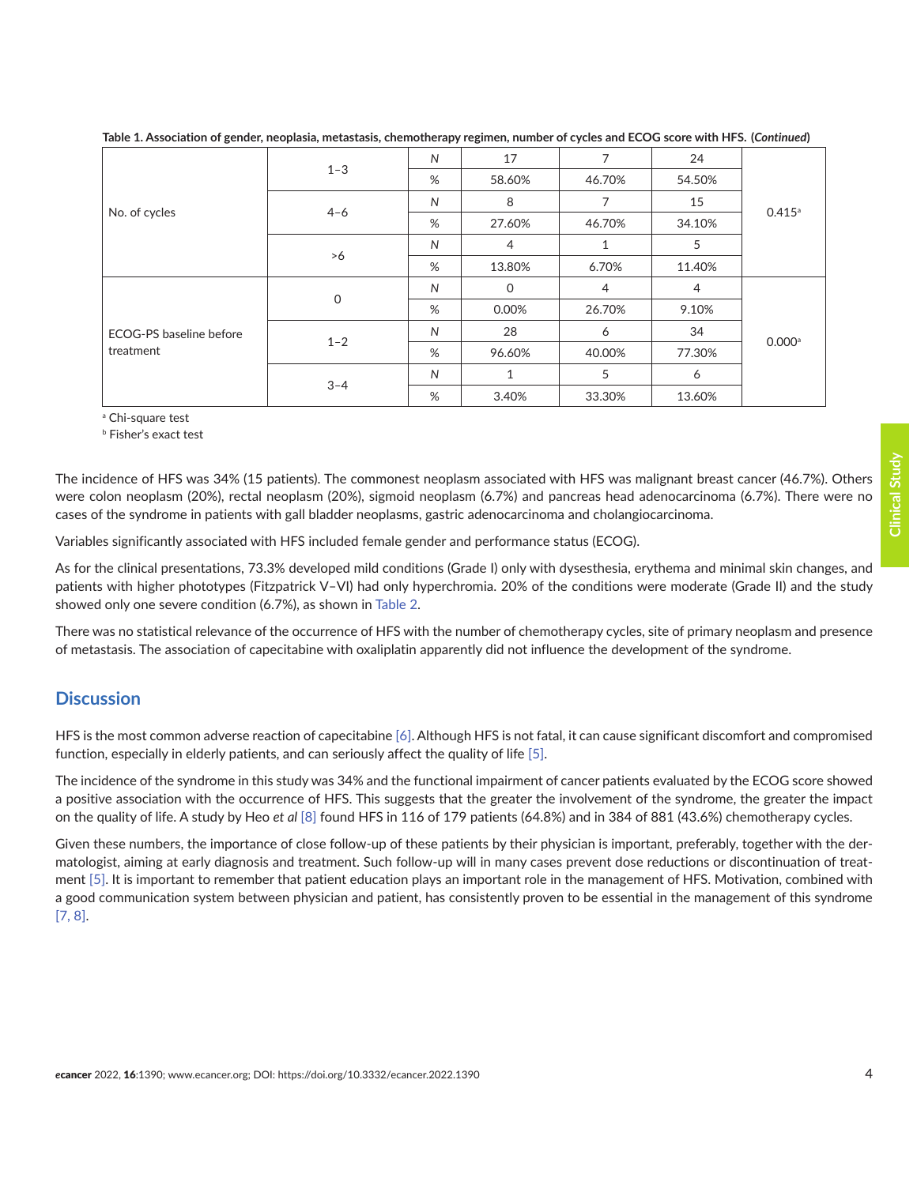| No. of cycles                        | $1 - 3$ | $\mathsf{N}$ | 17             | 7              | 24             | 0.415a               |
|--------------------------------------|---------|--------------|----------------|----------------|----------------|----------------------|
|                                      |         | %            | 58.60%         | 46.70%         | 54.50%         |                      |
|                                      | $4 - 6$ | $\mathsf{N}$ | 8              | 7              | 15             |                      |
|                                      |         | %            | 27.60%         | 46.70%         | 34.10%         |                      |
|                                      | >6      | $\mathsf{N}$ | $\overline{4}$ | 1              | 5              |                      |
|                                      |         | %            | 13.80%         | 6.70%          | 11.40%         |                      |
| ECOG-PS baseline before<br>treatment | 0       | N            | 0              | $\overline{4}$ | $\overline{4}$ | $0.000$ <sup>a</sup> |
|                                      |         | %            | 0.00%          | 26.70%         | 9.10%          |                      |
|                                      | $1 - 2$ | $\mathsf{N}$ | 28             | 6              | 34             |                      |
|                                      |         | %            | 96.60%         | 40.00%         | 77.30%         |                      |
|                                      | $3 - 4$ | $\mathsf{N}$ | $\mathbf{1}$   | 5              | 6              |                      |
|                                      |         | %            | 3.40%          | 33.30%         | 13.60%         |                      |

**Table 1. Association of gender, neoplasia, metastasis, chemotherapy regimen, number of cycles and ECOG score with HFS. (***Continued***)**

a Chi-square test

b Fisher's exact test

The incidence of HFS was 34% (15 patients). The commonest neoplasm associated with HFS was malignant breast cancer (46.7%). Others were colon neoplasm (20%), rectal neoplasm (20%), sigmoid neoplasm (6.7%) and pancreas head adenocarcinoma (6.7%). There were no cases of the syndrome in patients with gall bladder neoplasms, gastric adenocarcinoma and cholangiocarcinoma.

Variables significantly associated with HFS included female gender and performance status (ECOG).

As for the clinical presentations, 73.3% developed mild conditions (Grade I) only with dysesthesia, erythema and minimal skin changes, and patients with higher phototypes (Fitzpatrick V–VI) had only hyperchromia. 20% of the conditions were moderate (Grade II) and the study showed only one severe condition (6.7%), as shown in [Table 2.](#page-4-0)

There was no statistical relevance of the occurrence of HFS with the number of chemotherapy cycles, site of primary neoplasm and presence of metastasis. The association of capecitabine with oxaliplatin apparently did not influence the development of the syndrome.

# **Discussion**

HFS is the most common adverse reaction of capecitabine [\[6\].](#page-5-0) Although HFS is not fatal, it can cause significant discomfort and compromised function, especially in elderly patients, and can seriously affect the quality of life [\[5\]](#page-5-0).

The incidence of the syndrome in this study was 34% and the functional impairment of cancer patients evaluated by the ECOG score showed a positive association with the occurrence of HFS. This suggests that the greater the involvement of the syndrome, the greater the impact on the quality of life. A study by Heo *et al* [\[8\]](#page-5-0) found HFS in 116 of 179 patients (64.8%) and in 384 of 881 (43.6%) chemotherapy cycles.

Given these numbers, the importance of close follow-up of these patients by their physician is important, preferably, together with the dermatologist, aiming at early diagnosis and treatment. Such follow-up will in many cases prevent dose reductions or discontinuation of treatment [\[5\]](#page-5-0). It is important to remember that patient education plays an important role in the management of HFS. Motivation, combined with a good communication system between physician and patient, has consistently proven to be essential in the management of this syndrome [\[7, 8\]](#page-5-0).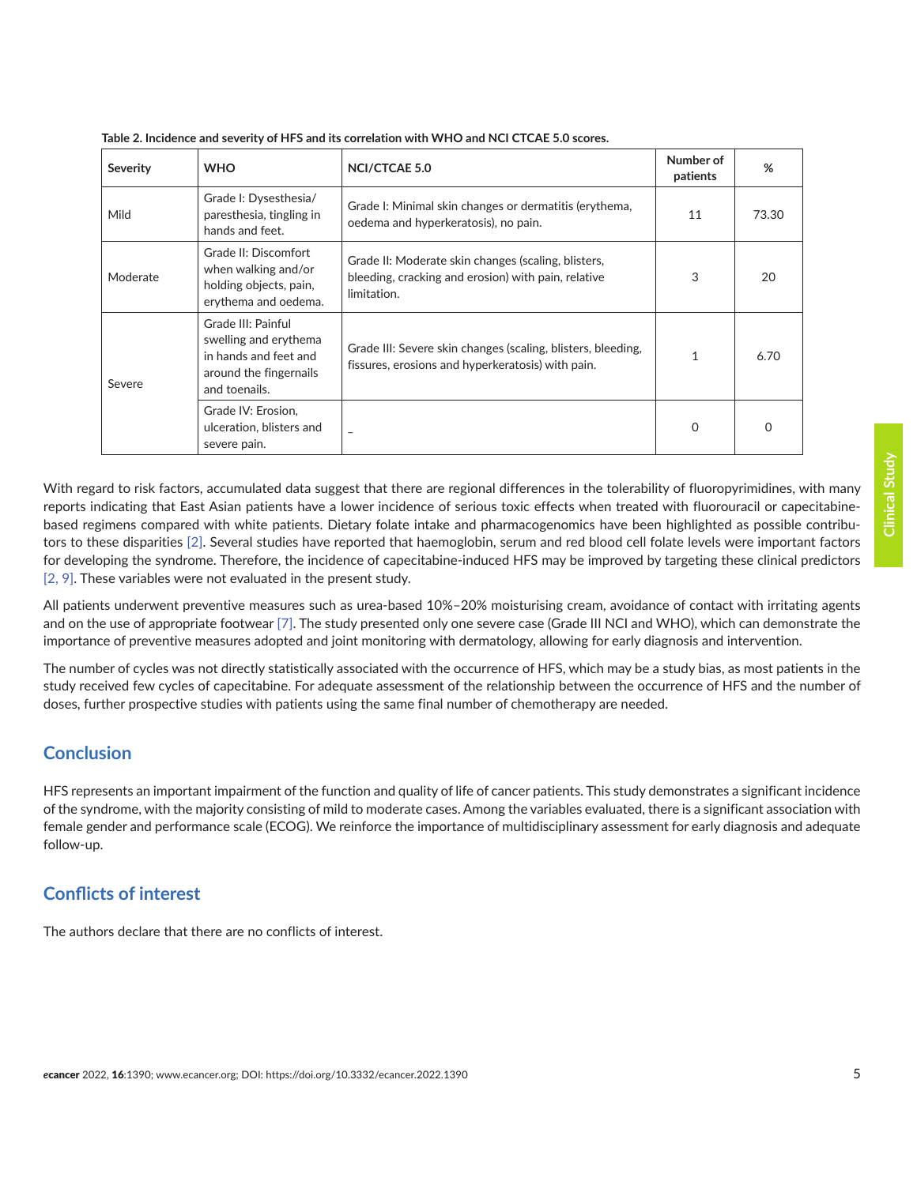| <b>Severity</b> | <b>WHO</b>                                                                                                      | <b>NCI/CTCAE 5.0</b>                                                                                                      | Number of<br>patients | %        |
|-----------------|-----------------------------------------------------------------------------------------------------------------|---------------------------------------------------------------------------------------------------------------------------|-----------------------|----------|
| Mild            | Grade I: Dysesthesia/<br>paresthesia, tingling in<br>hands and feet.                                            | Grade I: Minimal skin changes or dermatitis (erythema,<br>oedema and hyperkeratosis), no pain.                            | 11                    | 73.30    |
| Moderate        | Grade II: Discomfort<br>when walking and/or<br>holding objects, pain,<br>erythema and oedema.                   | Grade II: Moderate skin changes (scaling, blisters,<br>bleeding, cracking and erosion) with pain, relative<br>limitation. | 3                     | 20       |
| Severe          | Grade III: Painful<br>swelling and erythema<br>in hands and feet and<br>around the fingernails<br>and toenails. | Grade III: Severe skin changes (scaling, blisters, bleeding,<br>fissures, erosions and hyperkeratosis) with pain.         |                       | 6.70     |
|                 | Grade IV: Erosion,<br>ulceration, blisters and<br>severe pain.                                                  | $\overline{\phantom{0}}$                                                                                                  | 0                     | $\Omega$ |

<span id="page-4-0"></span>**Table 2. Incidence and severity of HFS and its correlation with WHO and NCI CTCAE 5.0 scores.**

With regard to risk factors, accumulated data suggest that there are regional differences in the tolerability of fluoropyrimidines, with many reports indicating that East Asian patients have a lower incidence of serious toxic effects when treated with fluorouracil or capecitabinebased regimens compared with white patients. Dietary folate intake and pharmacogenomics have been highlighted as possible contributors to these disparities [\[2\].](#page-5-0) Several studies have reported that haemoglobin, serum and red blood cell folate levels were important factors for developing the syndrome. Therefore, the incidence of capecitabine-induced HFS may be improved by targeting these clinical predictors [\[2, 9\]](#page-5-0). These variables were not evaluated in the present study.

All patients underwent preventive measures such as urea-based 10%–20% moisturising cream, avoidance of contact with irritating agents and on the use of appropriate footwear [\[7\].](#page-5-0) The study presented only one severe case (Grade III NCI and WHO), which can demonstrate the importance of preventive measures adopted and joint monitoring with dermatology, allowing for early diagnosis and intervention.

The number of cycles was not directly statistically associated with the occurrence of HFS, which may be a study bias, as most patients in the study received few cycles of capecitabine. For adequate assessment of the relationship between the occurrence of HFS and the number of doses, further prospective studies with patients using the same final number of chemotherapy are needed.

# **Conclusion**

HFS represents an important impairment of the function and quality of life of cancer patients. This study demonstrates a significant incidence of the syndrome, with the majority consisting of mild to moderate cases. Among the variables evaluated, there is a significant association with female gender and performance scale (ECOG). We reinforce the importance of multidisciplinary assessment for early diagnosis and adequate follow-up.

#### **Conflicts of interest**

The authors declare that there are no conflicts of interest.